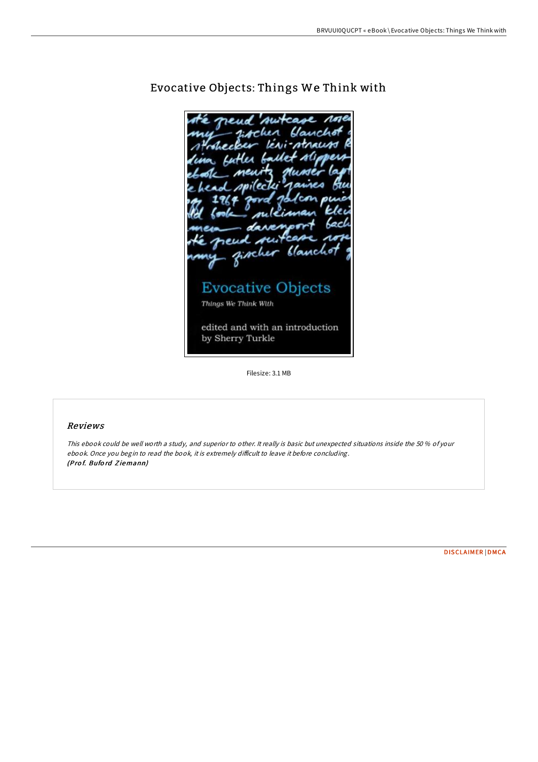**18.11A** racist neud ginch Clanch **Evocative Objects** Things We Think With edited and with an introduction by Sherry Turkle

# Evocative Objects: Things We Think with

Filesize: 3.1 MB

## Reviews

This ebook could be well worth <sup>a</sup> study, and superior to other. It really is basic but unexpected situations inside the 50 % of your ebook. Once you begin to read the book, it is extremely difficult to leave it before concluding. (Pro f. Bufo rd Z iemann)

[DISCLAIMER](http://almighty24.tech/disclaimer.html) | [DMCA](http://almighty24.tech/dmca.html)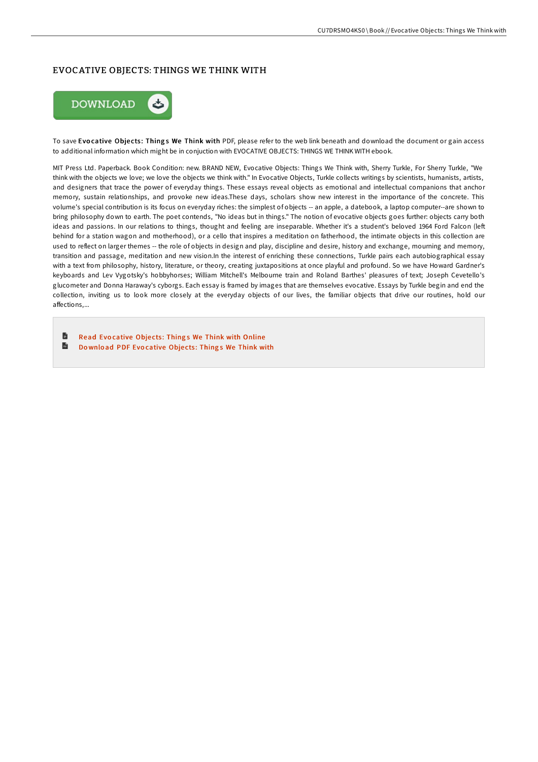### EVOCATIVE OBJECTS: THINGS WE THINK WITH



To save Evocative Objects: Things We Think with PDF, please refer to the web link beneath and download the document or gain access to additional information which might be in conjuction with EVOCATIVE OBJECTS: THINGS WE THINK WITH ebook.

MIT Press Ltd. Paperback. Book Condition: new. BRAND NEW, Evocative Objects: Things We Think with, Sherry Turkle, For Sherry Turkle, "We think with the objects we love; we love the objects we think with." In Evocative Objects, Turkle collects writings by scientists, humanists, artists, and designers that trace the power of everyday things. These essays reveal objects as emotional and intellectual companions that anchor memory, sustain relationships, and provoke new ideas.These days, scholars show new interest in the importance of the concrete. This volume's special contribution is its focus on everyday riches: the simplest of objects -- an apple, a datebook, a laptop computer--are shown to bring philosophy down to earth. The poet contends, "No ideas but in things." The notion of evocative objects goes further: objects carry both ideas and passions. In our relations to things, thought and feeling are inseparable. Whether it's a student's beloved 1964 Ford Falcon (left behind for a station wagon and motherhood), or a cello that inspires a meditation on fatherhood, the intimate objects in this collection are used to reflect on larger themes -- the role of objects in design and play, discipline and desire, history and exchange, mourning and memory, transition and passage, meditation and new vision.In the interest of enriching these connections, Turkle pairs each autobiographical essay with a text from philosophy, history, literature, or theory, creating juxtapositions at once playful and profound. So we have Howard Gardner's keyboards and Lev Vygotsky's hobbyhorses; William Mitchell's Melbourne train and Roland Barthes' pleasures of text; Joseph Cevetello's glucometer and Donna Haraway's cyborgs. Each essay is framed by images that are themselves evocative. Essays by Turkle begin and end the collection, inviting us to look more closely at the everyday objects of our lives, the familiar objects that drive our routines, hold our affections,...

旨 Read Evocative Objects: Things We Think with [Online](http://almighty24.tech/evocative-objects-things-we-think-with.html)  $\blacksquare$ Download PDF Evo[cative](http://almighty24.tech/evocative-objects-things-we-think-with.html) Objects: Things We Think with